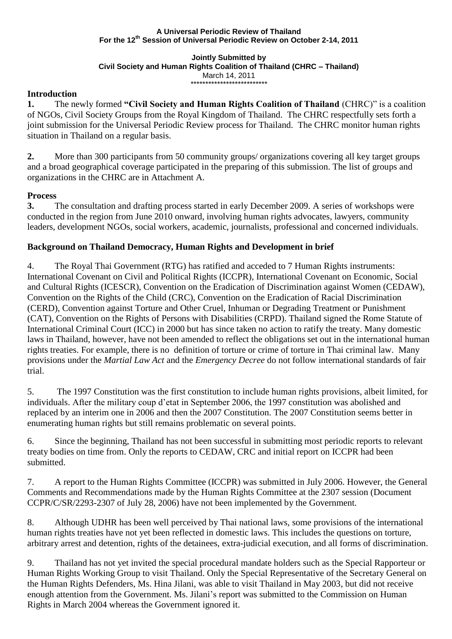#### **A Universal Periodic Review of Thailand For the 12th Session of Universal Periodic Review on October 2-14, 2011**

#### **Jointly Submitted by Civil Society and Human Rights Coalition of Thailand (CHRC – Thailand)** March 14, 2011 \*\*\*\*\*\*\*\*\*\*\*\*\*\*\*\*\*\*\*\*\*\*\*\*\*\*

# **Introduction**

**1.** The newly formed **"Civil Society and Human Rights Coalition of Thailand** (CHRC)" is a coalition of NGOs, Civil Society Groups from the Royal Kingdom of Thailand. The CHRC respectfully sets forth a joint submission for the Universal Periodic Review process for Thailand. The CHRC monitor human rights situation in Thailand on a regular basis.

**2.** More than 300 participants from 50 community groups/ organizations covering all key target groups and a broad geographical coverage participated in the preparing of this submission. The list of groups and organizations in the CHRC are in Attachment A.

# **Process**

**3.** The consultation and drafting process started in early December 2009. A series of workshops were conducted in the region from June 2010 onward, involving human rights advocates, lawyers, community leaders, development NGOs, social workers, academic, journalists, professional and concerned individuals.

# **Background on Thailand Democracy, Human Rights and Development in brief**

4. The Royal Thai Government (RTG) has ratified and acceded to 7 Human Rights instruments: International Covenant on Civil and Political Rights (ICCPR), International Covenant on Economic, Social and Cultural Rights (ICESCR), Convention on the Eradication of Discrimination against Women (CEDAW), Convention on the Rights of the Child (CRC), Convention on the Eradication of Racial Discrimination (CERD), Convention against Torture and Other Cruel, Inhuman or Degrading Treatment or Punishment (CAT), Convention on the Rights of Persons with Disabilities (CRPD). Thailand signed the Rome Statute of International Criminal Court (ICC) in 2000 but has since taken no action to ratify the treaty. Many domestic laws in Thailand, however, have not been amended to reflect the obligations set out in the international human rights treaties. For example, there is no definition of torture or crime of torture in Thai criminal law. Many provisions under the *Martial Law Act* and the *Emergency Decree* do not follow international standards of fair trial.

5. The 1997 Constitution was the first constitution to include human rights provisions, albeit limited, for individuals. After the military coup d"etat in September 2006, the 1997 constitution was abolished and replaced by an interim one in 2006 and then the 2007 Constitution. The 2007 Constitution seems better in enumerating human rights but still remains problematic on several points.

6. Since the beginning, Thailand has not been successful in submitting most periodic reports to relevant treaty bodies on time from. Only the reports to CEDAW, CRC and initial report on ICCPR had been submitted.

7. A report to the Human Rights Committee (ICCPR) was submitted in July 2006. However, the General Comments and Recommendations made by the Human Rights Committee at the 2307 session (Document CCPR/C/SR/2293-2307 of July 28, 2006) have not been implemented by the Government.

8. Although UDHR has been well perceived by Thai national laws, some provisions of the international human rights treaties have not yet been reflected in domestic laws. This includes the questions on torture, arbitrary arrest and detention, rights of the detainees, extra-judicial execution, and all forms of discrimination.

9. Thailand has not yet invited the special procedural mandate holders such as the Special Rapporteur or Human Rights Working Group to visit Thailand. Only the Special Representative of the Secretary General on the Human Rights Defenders, Ms. Hina Jilani, was able to visit Thailand in May 2003, but did not receive enough attention from the Government. Ms. Jilani"s report was submitted to the Commission on Human Rights in March 2004 whereas the Government ignored it.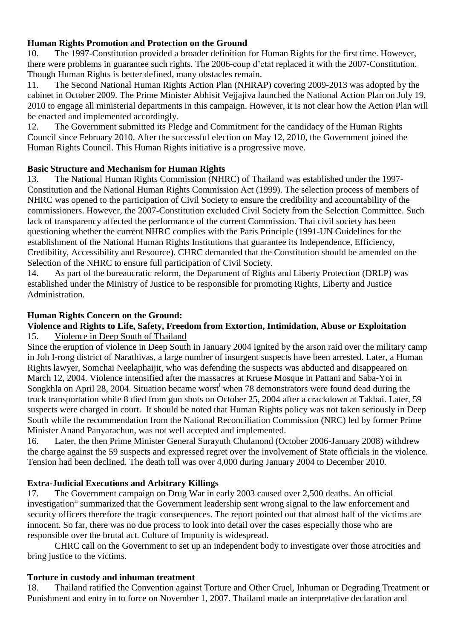# **Human Rights Promotion and Protection on the Ground**

10. The 1997-Constitution provided a broader definition for Human Rights for the first time. However, there were problems in guarantee such rights. The 2006-coup d"etat replaced it with the 2007-Constitution. Though Human Rights is better defined, many obstacles remain.

11. The Second National Human Rights Action Plan (NHRAP) covering 2009-2013 was adopted by the cabinet in October 2009. The Prime Minister Abhisit Vejjajiva launched the National Action Plan on July 19, 2010 to engage all ministerial departments in this campaign. However, it is not clear how the Action Plan will be enacted and implemented accordingly.

12. The Government submitted its Pledge and Commitment for the candidacy of the Human Rights Council since February 2010. After the successful election on May 12, 2010, the Government joined the Human Rights Council. This Human Rights initiative is a progressive move.

# **Basic Structure and Mechanism for Human Rights**

13. The National Human Rights Commission (NHRC) of Thailand was established under the 1997- Constitution and the National Human Rights Commission Act (1999). The selection process of members of NHRC was opened to the participation of Civil Society to ensure the credibility and accountability of the commissioners. However, the 2007-Constitution excluded Civil Society from the Selection Committee. Such lack of transparency affected the performance of the current Commission. Thai civil society has been questioning whether the current NHRC complies with the Paris Principle (1991-UN Guidelines for the establishment of the National Human Rights Institutions that guarantee its Independence, Efficiency, Credibility, Accessibility and Resource). CHRC demanded that the Constitution should be amended on the Selection of the NHRC to ensure full participation of Civil Society.

14. As part of the bureaucratic reform, the Department of Rights and Liberty Protection (DRLP) was established under the Ministry of Justice to be responsible for promoting Rights, Liberty and Justice Administration.

# **Human Rights Concern on the Ground:**

# **Violence and Rights to Life, Safety, Freedom from Extortion, Intimidation, Abuse or Exploitation**

# 15. Violence in Deep South of Thailand

Since the eruption of violence in Deep South in January 2004 ignited by the arson raid over the military camp in Joh I-rong district of Narathivas, a large number of insurgent suspects have been arrested. Later, a Human Rights lawyer, Somchai Neelaphaijit, who was defending the suspects was abducted and disappeared on March 12, 2004. Violence intensified after the massacres at Kruese Mosque in Pattani and Saba-Yoi in Songkhla on April 28, 2004. Situation became worst when 78 demonstrators were found dead during the truck transportation while 8 died from gun shots on October 25, 2004 after a crackdown at Takbai. Later, 59 suspects were charged in court. It should be noted that Human Rights policy was not taken seriously in Deep South while the recommendation from the National Reconciliation Commission (NRC) led by former Prime Minister Anand Panyarachun, was not well accepted and implemented.

16. Later, the then Prime Minister General Surayuth Chulanond (October 2006-January 2008) withdrew the charge against the 59 suspects and expressed regret over the involvement of State officials in the violence. Tension had been declined. The death toll was over 4,000 during January 2004 to December 2010.

# **Extra-Judicial Executions and Arbitrary Killings**

17. The Government campaign on Drug War in early 2003 caused over 2,500 deaths. An official investigation<sup>ii</sup> summarized that the Government leadership sent wrong signal to the law enforcement and security officers therefore the tragic consequences. The report pointed out that almost half of the victims are innocent. So far, there was no due process to look into detail over the cases especially those who are responsible over the brutal act. Culture of Impunity is widespread.

CHRC call on the Government to set up an independent body to investigate over those atrocities and bring justice to the victims.

# **Torture in custody and inhuman treatment**

18. Thailand ratified the Convention against Torture and Other Cruel, Inhuman or Degrading Treatment or Punishment and entry in to force on November 1, 2007. Thailand made an interpretative declaration and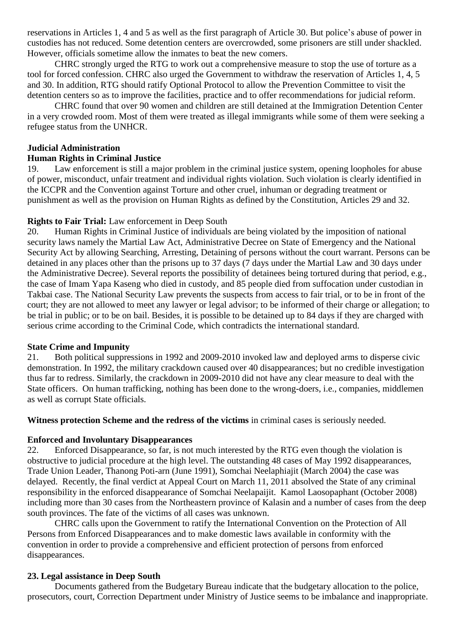reservations in Articles 1, 4 and 5 as well as the first paragraph of Article 30. But police"s abuse of power in custodies has not reduced. Some detention centers are overcrowded, some prisoners are still under shackled. However, officials sometime allow the inmates to beat the new comers.

CHRC strongly urged the RTG to work out a comprehensive measure to stop the use of torture as a tool for forced confession. CHRC also urged the Government to withdraw the reservation of Articles 1, 4, 5 and 30. In addition, RTG should ratify Optional Protocol to allow the Prevention Committee to visit the detention centers so as to improve the facilities, practice and to offer recommendations for judicial reform.

CHRC found that over 90 women and children are still detained at the Immigration Detention Center in a very crowded room. Most of them were treated as illegal immigrants while some of them were seeking a refugee status from the UNHCR.

#### **Judicial Administration**

#### **Human Rights in Criminal Justice**

19. Law enforcement is still a major problem in the criminal justice system, opening loopholes for abuse of power, misconduct, unfair treatment and individual rights violation. Such violation is clearly identified in the ICCPR and the Convention against Torture and other cruel, inhuman or degrading treatment or punishment as well as the provision on Human Rights as defined by the Constitution, Articles 29 and 32.

#### **Rights to Fair Trial:** Law enforcement in Deep South

20. Human Rights in Criminal Justice of individuals are being violated by the imposition of national security laws namely the Martial Law Act, Administrative Decree on State of Emergency and the National Security Act by allowing Searching, Arresting, Detaining of persons without the court warrant. Persons can be detained in any places other than the prisons up to 37 days (7 days under the Martial Law and 30 days under the Administrative Decree). Several reports the possibility of detainees being tortured during that period, e.g., the case of Imam Yapa Kaseng who died in custody, and 85 people died from suffocation under custodian in Takbai case. The National Security Law prevents the suspects from access to fair trial, or to be in front of the court; they are not allowed to meet any lawyer or legal advisor; to be informed of their charge or allegation; to be trial in public; or to be on bail. Besides, it is possible to be detained up to 84 days if they are charged with serious crime according to the Criminal Code, which contradicts the international standard.

#### **State Crime and Impunity**

21. Both political suppressions in 1992 and 2009-2010 invoked law and deployed arms to disperse civic demonstration. In 1992, the military crackdown caused over 40 disappearances; but no credible investigation thus far to redress. Similarly, the crackdown in 2009-2010 did not have any clear measure to deal with the State officers. On human trafficking, nothing has been done to the wrong-doers, i.e., companies, middlemen as well as corrupt State officials.

**Witness protection Scheme and the redress of the victims** in criminal cases is seriously needed.

#### **Enforced and Involuntary Disappearances**

22. Enforced Disappearance, so far, is not much interested by the RTG even though the violation is obstructive to judicial procedure at the high level. The outstanding 48 cases of May 1992 disappearances, Trade Union Leader, Thanong Poti-arn (June 1991), Somchai Neelaphiajit (March 2004) the case was delayed. Recently, the final verdict at Appeal Court on March 11, 2011 absolved the State of any criminal responsibility in the enforced disappearance of Somchai Neelapaijit. Kamol Laosopaphant (October 2008) including more than 30 cases from the Northeastern province of Kalasin and a number of cases from the deep south provinces. The fate of the victims of all cases was unknown.

CHRC calls upon the Government to ratify the International Convention on the Protection of All Persons from Enforced Disappearances and to make domestic laws available in conformity with the convention in order to provide a comprehensive and efficient protection of persons from enforced disappearances.

#### **23. Legal assistance in Deep South**

Documents gathered from the Budgetary Bureau indicate that the budgetary allocation to the police, prosecutors, court, Correction Department under Ministry of Justice seems to be imbalance and inappropriate.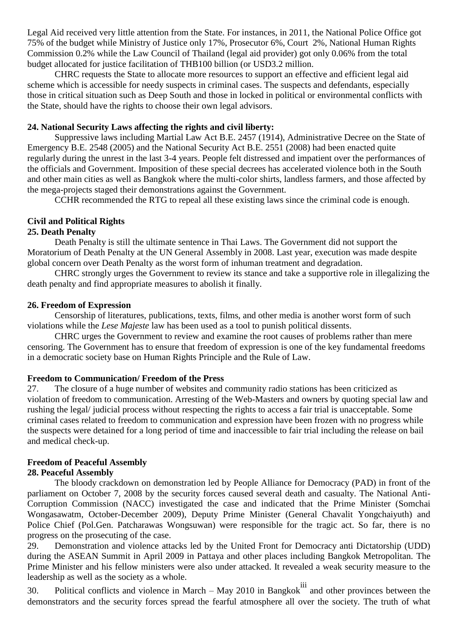Legal Aid received very little attention from the State. For instances, in 2011, the National Police Office got 75% of the budget while Ministry of Justice only 17%, Prosecutor 6%, Court 2%, National Human Rights Commission 0.2% while the Law Council of Thailand (legal aid provider) got only 0.06% from the total budget allocated for justice facilitation of THB100 billion (or USD3.2 million.

CHRC requests the State to allocate more resources to support an effective and efficient legal aid scheme which is accessible for needy suspects in criminal cases. The suspects and defendants, especially those in critical situation such as Deep South and those in locked in political or environmental conflicts with the State, should have the rights to choose their own legal advisors.

#### **24. National Security Laws affecting the rights and civil liberty:**

Suppressive laws including Martial Law Act B.E. 2457 (1914), Administrative Decree on the State of Emergency B.E. 2548 (2005) and the National Security Act B.E. 2551 (2008) had been enacted quite regularly during the unrest in the last 3-4 years. People felt distressed and impatient over the performances of the officials and Government. Imposition of these special decrees has accelerated violence both in the South and other main cities as well as Bangkok where the multi-color shirts, landless farmers, and those affected by the mega-projects staged their demonstrations against the Government.

CCHR recommended the RTG to repeal all these existing laws since the criminal code is enough.

# **Civil and Political Rights**

#### **25. Death Penalty**

Death Penalty is still the ultimate sentence in Thai Laws. The Government did not support the Moratorium of Death Penalty at the UN General Assembly in 2008. Last year, execution was made despite global concern over Death Penalty as the worst form of inhuman treatment and degradation.

CHRC strongly urges the Government to review its stance and take a supportive role in illegalizing the death penalty and find appropriate measures to abolish it finally.

#### **26. Freedom of Expression**

Censorship of literatures, publications, texts, films, and other media is another worst form of such violations while the *Lese Majeste* law has been used as a tool to punish political dissents.

CHRC urges the Government to review and examine the root causes of problems rather than mere censoring. The Government has to ensure that freedom of expression is one of the key fundamental freedoms in a democratic society base on Human Rights Principle and the Rule of Law.

#### **Freedom to Communication/ Freedom of the Press**

27. The closure of a huge number of websites and community radio stations has been criticized as violation of freedom to communication. Arresting of the Web-Masters and owners by quoting special law and rushing the legal/ judicial process without respecting the rights to access a fair trial is unacceptable. Some criminal cases related to freedom to communication and expression have been frozen with no progress while the suspects were detained for a long period of time and inaccessible to fair trial including the release on bail and medical check-up.

# **Freedom of Peaceful Assembly**

# **28. Peaceful Assembly**

The bloody crackdown on demonstration led by People Alliance for Democracy (PAD) in front of the parliament on October 7, 2008 by the security forces caused several death and casualty. The National Anti-Corruption Commission (NACC) investigated the case and indicated that the Prime Minister (Somchai Wongasawatm, October-December 2009), Deputy Prime Minister (General Chavalit Yongchaiyuth) and Police Chief (Pol.Gen. Patcharawas Wongsuwan) were responsible for the tragic act. So far, there is no progress on the prosecuting of the case.

29. Demonstration and violence attacks led by the United Front for Democracy anti Dictatorship (UDD) during the ASEAN Summit in April 2009 in Pattaya and other places including Bangkok Metropolitan. The Prime Minister and his fellow ministers were also under attacked. It revealed a weak security measure to the leadership as well as the society as a whole.

 $30.$  Political conflicts and violence in March – May 2010 in Bangkok<sup>iii</sup> and other provinces between the demonstrators and the security forces spread the fearful atmosphere all over the society. The truth of what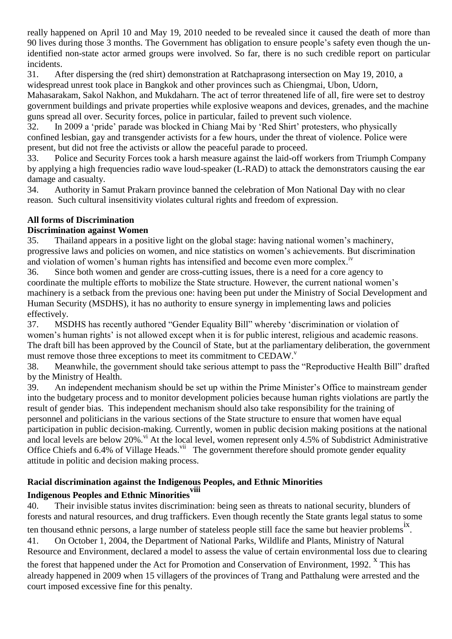really happened on April 10 and May 19, 2010 needed to be revealed since it caused the death of more than 90 lives during those 3 months. The Government has obligation to ensure people"s safety even though the unidentified non-state actor armed groups were involved. So far, there is no such credible report on particular incidents.

31. After dispersing the (red shirt) demonstration at Ratchaprasong intersection on May 19, 2010, a widespread unrest took place in Bangkok and other provinces such as Chiengmai, Ubon, Udorn,

Mahasarakam, Sakol Nakhon, and Mukdaharn. The act of terror threatened life of all, fire were set to destroy government buildings and private properties while explosive weapons and devices, grenades, and the machine guns spread all over. Security forces, police in particular, failed to prevent such violence.

32. In 2009 a "pride" parade was blocked in Chiang Mai by "Red Shirt" protesters, who physically confined lesbian, gay and transgender activists for a few hours, under the threat of violence. Police were present, but did not free the activists or allow the peaceful parade to proceed.

33. Police and Security Forces took a harsh measure against the laid-off workers from Triumph Company by applying a high frequencies radio wave loud-speaker (L-RAD) to attack the demonstrators causing the ear damage and casualty.

34. Authority in Samut Prakarn province banned the celebration of Mon National Day with no clear reason. Such cultural insensitivity violates cultural rights and freedom of expression.

# **All forms of Discrimination**

# **Discrimination against Women**

35. Thailand appears in a positive light on the global stage: having national women"s machinery, progressive laws and policies on women, and nice statistics on women"s achievements. But discrimination and violation of women's human rights has intensified and become even more complex.<sup>iv</sup>

36. Since both women and gender are cross-cutting issues, there is a need for a core agency to coordinate the multiple efforts to mobilize the State structure. However, the current national women"s machinery is a setback from the previous one: having been put under the Ministry of Social Development and Human Security (MSDHS), it has no authority to ensure synergy in implementing laws and policies effectively.

37. MSDHS has recently authored "Gender Equality Bill" whereby "discrimination or violation of women's human rights' is not allowed except when it is for public interest, religious and academic reasons. The draft bill has been approved by the Council of State, but at the parliamentary deliberation, the government must remove those three exceptions to meet its commitment to CEDAW.<sup>v</sup>

38. Meanwhile, the government should take serious attempt to pass the "Reproductive Health Bill" drafted by the Ministry of Health.

39. An independent mechanism should be set up within the Prime Minister"s Office to mainstream gender into the budgetary process and to monitor development policies because human rights violations are partly the result of gender bias. This independent mechanism should also take responsibility for the training of personnel and politicians in the various sections of the State structure to ensure that women have equal participation in public decision-making. Currently, women in public decision making positions at the national and local levels are below 20%.<sup>vi</sup> At the local level, women represent only 4.5% of Subdistrict Administrative Office Chiefs and 6.4% of Village Heads.<sup>vii</sup> The government therefore should promote gender equality attitude in politic and decision making process.

# **Racial discrimination against the Indigenous Peoples, and Ethnic Minorities**

# **Indigenous Peoples and Ethnic Minoritiesviii**

40. Their invisible status invites discrimination: being seen as threats to national security, blunders of forests and natural resources, and drug traffickers. Even though recently the State grants legal status to some ten thousand ethnic persons, a large number of stateless people still face the same but heavier problems<sup>ix</sup>. 41. On October 1, 2004, the Department of National Parks, Wildlife and Plants, Ministry of Natural

Resource and Environment, declared a model to assess the value of certain environmental loss due to clearing

the forest that happened under the Act for Promotion and Conservation of Environment, 1992.  $^{\text{x}}$  This has already happened in 2009 when 15 villagers of the provinces of Trang and Patthalung were arrested and the court imposed excessive fine for this penalty.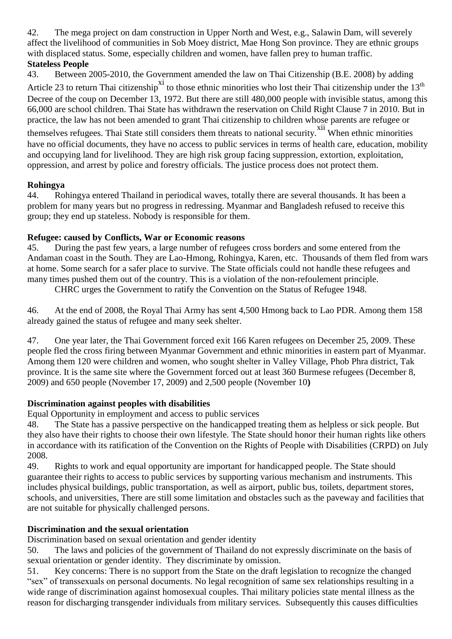42. The mega project on dam construction in Upper North and West, e.g., Salawin Dam, will severely affect the livelihood of communities in Sob Moey district, Mae Hong Son province. They are ethnic groups with displaced status. Some, especially children and women, have fallen prey to human traffic. **Stateless People**

43. Between 2005-2010, the Government amended the law on Thai Citizenship (B.E. 2008) by adding Article 23 to return Thai citizenship<sup>xi</sup> to those ethnic minorities who lost their Thai citizenship under the 13<sup>th</sup> Decree of the coup on December 13, 1972. But there are still 480,000 people with invisible status, among this 66,000 are school children. Thai State has withdrawn the reservation on Child Right Clause 7 in 2010. But in practice, the law has not been amended to grant Thai citizenship to children whose parents are refugee or themselves refugees. Thai State still considers them threats to national security.<sup>xii</sup> When ethnic minorities have no official documents, they have no access to public services in terms of health care, education, mobility and occupying land for livelihood. They are high risk group facing suppression, extortion, exploitation, oppression, and arrest by police and forestry officials. The justice process does not protect them.

# **Rohingya**

44. Rohingya entered Thailand in periodical waves, totally there are several thousands. It has been a problem for many years but no progress in redressing. Myanmar and Bangladesh refused to receive this group; they end up stateless. Nobody is responsible for them.

# **Refugee: caused by Conflicts, War or Economic reasons**

45. During the past few years, a large number of refugees cross borders and some entered from the Andaman coast in the South. They are Lao-Hmong, Rohingya, Karen, etc. Thousands of them fled from wars at home. Some search for a safer place to survive. The State officials could not handle these refugees and many times pushed them out of the country. This is a violation of the non-refoulement principle.

CHRC urges the Government to ratify the Convention on the Status of Refugee 1948.

46. At the end of 2008, the Royal Thai Army has sent 4,500 Hmong back to Lao PDR. Among them 158 already gained the status of refugee and many seek shelter.

47. One year later, the Thai Government forced exit 166 Karen refugees on December 25, 2009. These people fled the cross firing between Myanmar Government and ethnic minorities in eastern part of Myanmar. Among them 120 were children and women, who sought shelter in Valley Village, Phob Phra district, Tak province. It is the same site where the Government forced out at least 360 Burmese refugees (December 8, 2009) and 650 people (November 17, 2009) and 2,500 people (November 10**)**

# **Discrimination against peoples with disabilities**

Equal Opportunity in employment and access to public services

48. The State has a passive perspective on the handicapped treating them as helpless or sick people. But they also have their rights to choose their own lifestyle. The State should honor their human rights like others in accordance with its ratification of the Convention on the Rights of People with Disabilities (CRPD) on July 2008.

49. Rights to work and equal opportunity are important for handicapped people. The State should guarantee their rights to access to public services by supporting various mechanism and instruments. This includes physical buildings, public transportation, as well as airport, public bus, toilets, department stores, schools, and universities, There are still some limitation and obstacles such as the paveway and facilities that are not suitable for physically challenged persons.

# **Discrimination and the sexual orientation**

Discrimination based on sexual orientation and gender identity

50. The laws and policies of the government of Thailand do not expressly discriminate on the basis of sexual orientation or gender identity. They discriminate by omission.

51. Key concerns: There is no support from the State on the draft legislation to recognize the changed "sex" of transsexuals on personal documents. No legal recognition of same sex relationships resulting in a wide range of discrimination against homosexual couples. Thai military policies state mental illness as the reason for discharging transgender individuals from military services. Subsequently this causes difficulties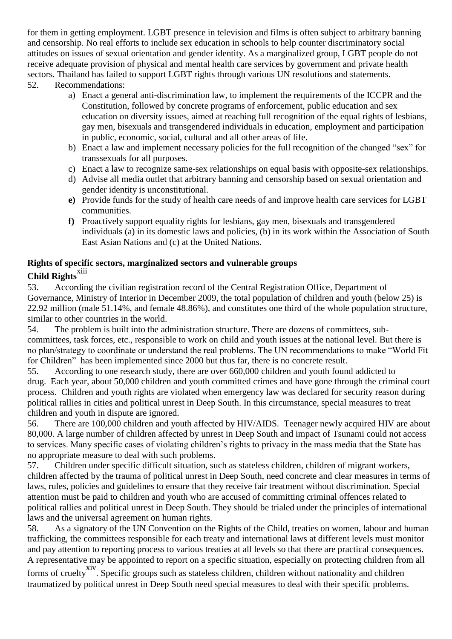for them in getting employment. LGBT presence in television and films is often subject to arbitrary banning and censorship. No real efforts to include sex education in schools to help counter discriminatory social attitudes on issues of sexual orientation and gender identity. As a marginalized group, LGBT people do not receive adequate provision of physical and mental health care services by government and private health sectors. Thailand has failed to support LGBT rights through various UN resolutions and statements. 52. Recommendations:

- a) Enact a general anti-discrimination law, to implement the requirements of the ICCPR and the Constitution, followed by concrete programs of enforcement, public education and sex education on diversity issues, aimed at reaching full recognition of the equal rights of lesbians, gay men, bisexuals and transgendered individuals in education, employment and participation in public, economic, social, cultural and all other areas of life.
- b) Enact a law and implement necessary policies for the full recognition of the changed "sex" for transsexuals for all purposes.
- c) Enact a law to recognize same-sex relationships on equal basis with opposite-sex relationships.
- d) Advise all media outlet that arbitrary banning and censorship based on sexual orientation and gender identity is unconstitutional.
- **e)** Provide funds for the study of health care needs of and improve health care services for LGBT communities.
- **f)** Proactively support equality rights for lesbians, gay men, bisexuals and transgendered individuals (a) in its domestic laws and policies, (b) in its work within the Association of South East Asian Nations and (c) at the United Nations.

# **Rights of specific sectors, marginalized sectors and vulnerable groups Child Rights**<sup>xiii</sup>

53. According the civilian registration record of the Central Registration Office, Department of Governance, Ministry of Interior in December 2009, the total population of children and youth (below 25) is 22.92 million (male 51.14%, and female 48.86%), and constitutes one third of the whole population structure, similar to other countries in the world.

54. The problem is built into the administration structure. There are dozens of committees, subcommittees, task forces, etc., responsible to work on child and youth issues at the national level. But there is no plan/strategy to coordinate or understand the real problems. The UN recommendations to make "World Fit for Children" has been implemented since 2000 but thus far, there is no concrete result.

55. According to one research study, there are over 660,000 children and youth found addicted to drug. Each year, about 50,000 children and youth committed crimes and have gone through the criminal court process. Children and youth rights are violated when emergency law was declared for security reason during political rallies in cities and political unrest in Deep South. In this circumstance, special measures to treat children and youth in dispute are ignored.

56. There are 100,000 children and youth affected by HIV/AIDS. Teenager newly acquired HIV are about 80,000. A large number of children affected by unrest in Deep South and impact of Tsunami could not access to services. Many specific cases of violating children"s rights to privacy in the mass media that the State has no appropriate measure to deal with such problems.

57. Children under specific difficult situation, such as stateless children, children of migrant workers, children affected by the trauma of political unrest in Deep South, need concrete and clear measures in terms of laws, rules, policies and guidelines to ensure that they receive fair treatment without discrimination. Special attention must be paid to children and youth who are accused of committing criminal offences related to political rallies and political unrest in Deep South. They should be trialed under the principles of international laws and the universal agreement on human rights.

58. As a signatory of the UN Convention on the Rights of the Child, treaties on women, labour and human trafficking, the committees responsible for each treaty and international laws at different levels must monitor and pay attention to reporting process to various treaties at all levels so that there are practical consequences. A representative may be appointed to report on a specific situation, especially on protecting children from all

forms of cruelty<sup>xiv</sup>. Specific groups such as stateless children, children without nationality and children traumatized by political unrest in Deep South need special measures to deal with their specific problems.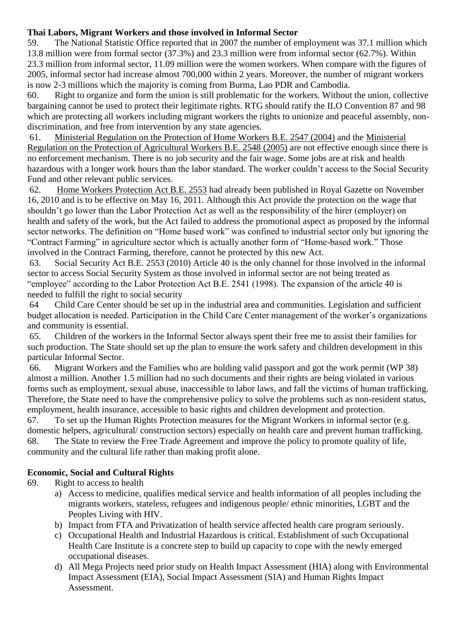# **Thai Labors, Migrant Workers and those involved in Informal Sector**

59. The National Statistic Office reported that in 2007 the number of employment was 37.1 million which 13.8 million were from formal sector (37.3%) and 23.3 million were from informal sector (62.7%). Within 23.3 million from informal sector, 11.09 million were the women workers. When compare with the figures of 2005, informal sector had increase almost 700,000 within 2 years. Moreover, the number of migrant workers is now 2-3 millions which the majority is coming from Burma, Lao PDR and Cambodia.

60. Right to organize and form the union is still problematic for the workers. Without the union, collective bargaining cannot be used to protect their legitimate rights. RTG should ratify the ILO Convention 87 and 98 which are protecting all workers including migrant workers the rights to unionize and peaceful assembly, nondiscrimination, and free from intervention by any state agencies.

61. Ministerial Regulation on the Protection of Home Workers B.E. 2547 (2004) and the Ministerial Regulation on the Protection of Agricultural Workers B.E. 2548 (2005) are not effective enough since there is no enforcement mechanism. There is no job security and the fair wage. Some jobs are at risk and health hazardous with a longer work hours than the labor standard. The worker couldn't access to the Social Security Fund and other relevant public services.

62. Home Workers Protection Act B.E. 2553 had already been published in Royal Gazette on November 16, 2010 and is to be effective on May 16, 2011. Although this Act provide the protection on the wage that shouldn"t go lower than the Labor Protection Act as well as the responsibility of the hirer (employer) on health and safety of the work, but the Act failed to address the promotional aspect as proposed by the informal sector networks. The definition on "Home based work" was confined to industrial sector only but ignoring the "Contract Farming" in agriculture sector which is actually another form of "Home-based work." Those involved in the Contract Farming, therefore, cannot be protected by this new Act.

63. Social Security Act B.E. 2553 (2010) Article 40 is the only channel for those involved in the informal sector to access Social Security System as those involved in informal sector are not being treated as "employee" according to the Labor Protection Act B.E. 2541 (1998). The expansion of the article 40 is needed to fulfill the right to social security

64 Child Care Center should be set up in the industrial area and communities. Legislation and sufficient budget allocation is needed. Participation in the Child Care Center management of the worker's organizations and community is essential.

65. Children of the workers in the Informal Sector always spent their free me to assist their families for such production. The State should set up the plan to ensure the work safety and children development in this particular Informal Sector.

66. Migrant Workers and the Families who are holding valid passport and got the work permit (WP 38) almost a million. Another 1.5 million had no such documents and their rights are being violated in various forms such as employment, sexual abuse, inaccessible to labor laws, and fall the victims of human trafficking. Therefore, the State need to have the comprehensive policy to solve the problems such as non-resident status, employment, health insurance, accessible to basic rights and children development and protection.

67. To set up the Human Rights Protection measures for the Migrant Workers in informal sector (e.g. domestic helpers, agricultural/ construction sectors) especially on health care and prevent human trafficking. 68. The State to review the Free Trade Agreement and improve the policy to promote quality of life, community and the cultural life rather than making profit alone.

# **Economic, Social and Cultural Rights**

- 69. Right to access to health
	- a) Access to medicine, qualifies medical service and health information of all peoples including the migrants workers, stateless, refugees and indigenous people/ ethnic minorities, LGBT and the Peoples Living with HIV.
	- b) Impact from FTA and Privatization of health service affected health care program seriously.
	- c) Occupational Health and Industrial Hazardous is critical. Establishment of such Occupational Health Care Institute is a concrete step to build up capacity to cope with the newly emerged occupational diseases.
	- d) All Mega Projects need prior study on Health Impact Assessment (HIA) along with Environmental Impact Assessment (EIA), Social Impact Assessment (SIA) and Human Rights Impact Assessment.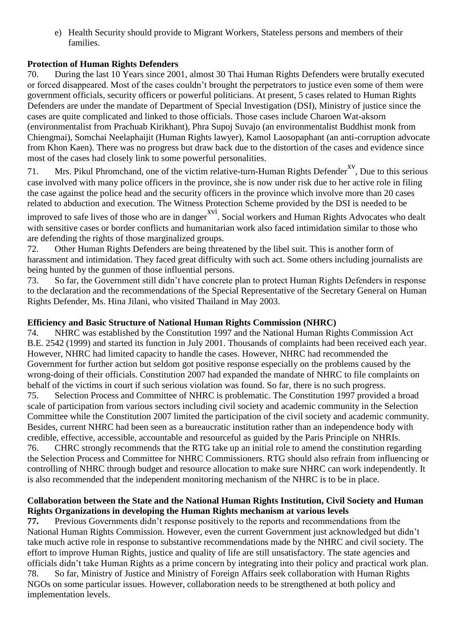e) Health Security should provide to Migrant Workers, Stateless persons and members of their families.

# **Protection of Human Rights Defenders**

70. During the last 10 Years since 2001, almost 30 Thai Human Rights Defenders were brutally executed or forced disappeared. Most of the cases couldn"t brought the perpetrators to justice even some of them were government officials, security officers or powerful politicians. At present, 5 cases related to Human Rights Defenders are under the mandate of Department of Special Investigation (DSI), Ministry of justice since the cases are quite complicated and linked to those officials. Those cases include Charoen Wat-aksorn (environmentalist from Prachuab Kirikhant), Phra Supoj Suvajo (an environmentalist Buddhist monk from Chiengmai), Somchai Neelaphaijit (Human Rights lawyer), Kamol Laosopaphant (an anti-corruption advocate from Khon Kaen). There was no progress but draw back due to the distortion of the cases and evidence since most of the cases had closely link to some powerful personalities.

71. Mrs. Pikul Phromchand, one of the victim relative-turn-Human Rights Defender<sup>xv</sup>, Due to this serious case involved with many police officers in the province, she is now under risk due to her active role in filing the case against the police head and the security officers in the province which involve more than 20 cases related to abduction and execution. The Witness Protection Scheme provided by the DSI is needed to be improved to safe lives of those who are in danger<sup>xvi</sup>. Social workers and Human Rights Advocates who dealt

with sensitive cases or border conflicts and humanitarian work also faced intimidation similar to those who are defending the rights of those marginalized groups.

72. Other Human Rights Defenders are being threatened by the libel suit. This is another form of harassment and intimidation. They faced great difficulty with such act. Some others including journalists are being hunted by the gunmen of those influential persons.

73. So far, the Government still didn"t have concrete plan to protect Human Rights Defenders in response to the declaration and the recommendations of the Special Representative of the Secretary General on Human Rights Defender, Ms. Hina Jilani, who visited Thailand in May 2003.

# **Efficiency and Basic Structure of National Human Rights Commission (NHRC)**

74. NHRC was established by the Constitution 1997 and the National Human Rights Commission Act B.E. 2542 (1999) and started its function in July 2001. Thousands of complaints had been received each year. However, NHRC had limited capacity to handle the cases. However, NHRC had recommended the Government for further action but seldom got positive response especially on the problems caused by the wrong-doing of their officials. Constitution 2007 had expanded the mandate of NHRC to file complaints on behalf of the victims in court if such serious violation was found. So far, there is no such progress. 75. Selection Process and Committee of NHRC is problematic. The Constitution 1997 provided a broad scale of participation from various sectors including civil society and academic community in the Selection Committee while the Constitution 2007 limited the participation of the civil society and academic community. Besides, current NHRC had been seen as a bureaucratic institution rather than an independence body with credible, effective, accessible, accountable and resourceful as guided by the Paris Principle on NHRIs. 76. CHRC strongly recommends that the RTG take up an initial role to amend the constitution regarding the Selection Process and Committee for NHRC Commissioners. RTG should also refrain from influencing or controlling of NHRC through budget and resource allocation to make sure NHRC can work independently. It is also recommended that the independent monitoring mechanism of the NHRC is to be in place.

# **Collaboration between the State and the National Human Rights Institution, Civil Society and Human Rights Organizations in developing the Human Rights mechanism at various levels**

**77.** Previous Governments didn"t response positively to the reports and recommendations from the National Human Rights Commission. However, even the current Government just acknowledged but didn"t take much active role in response to substantive recommendations made by the NHRC and civil society. The effort to improve Human Rights, justice and quality of life are still unsatisfactory. The state agencies and officials didn"t take Human Rights as a prime concern by integrating into their policy and practical work plan. 78. So far, Ministry of Justice and Ministry of Foreign Affairs seek collaboration with Human Rights NGOs on some particular issues. However, collaboration needs to be strengthened at both policy and implementation levels.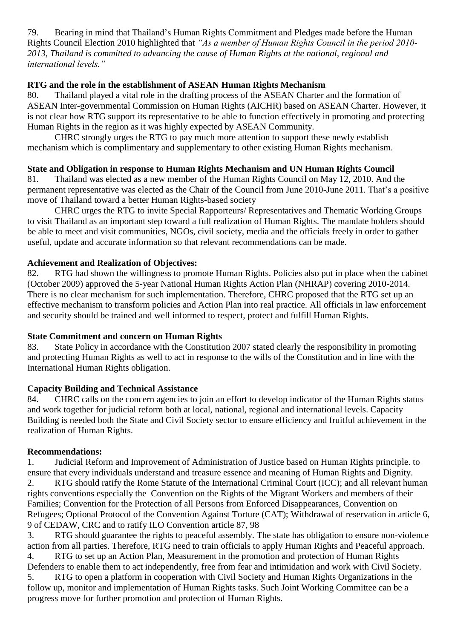79. Bearing in mind that Thailand"s Human Rights Commitment and Pledges made before the Human Rights Council Election 2010 highlighted that *"As a member of Human Rights Council in the period 2010- 2013, Thailand is committed to advancing the cause of Human Rights at the national, regional and international levels."*

# **RTG and the role in the establishment of ASEAN Human Rights Mechanism**

80. Thailand played a vital role in the drafting process of the ASEAN Charter and the formation of ASEAN Inter-governmental Commission on Human Rights (AICHR) based on ASEAN Charter. However, it is not clear how RTG support its representative to be able to function effectively in promoting and protecting Human Rights in the region as it was highly expected by ASEAN Community.

CHRC strongly urges the RTG to pay much more attention to support these newly establish mechanism which is complimentary and supplementary to other existing Human Rights mechanism.

# **State and Obligation in response to Human Rights Mechanism and UN Human Rights Council**

81. Thailand was elected as a new member of the Human Rights Council on May 12, 2010. And the permanent representative was elected as the Chair of the Council from June 2010-June 2011. That"s a positive move of Thailand toward a better Human Rights-based society

CHRC urges the RTG to invite Special Rapporteurs/ Representatives and Thematic Working Groups to visit Thailand as an important step toward a full realization of Human Rights. The mandate holders should be able to meet and visit communities, NGOs, civil society, media and the officials freely in order to gather useful, update and accurate information so that relevant recommendations can be made.

# **Achievement and Realization of Objectives:**

82. RTG had shown the willingness to promote Human Rights. Policies also put in place when the cabinet (October 2009) approved the 5-year National Human Rights Action Plan (NHRAP) covering 2010-2014. There is no clear mechanism for such implementation. Therefore, CHRC proposed that the RTG set up an effective mechanism to transform policies and Action Plan into real practice. All officials in law enforcement and security should be trained and well informed to respect, protect and fulfill Human Rights.

# **State Commitment and concern on Human Rights**

83. State Policy in accordance with the Constitution 2007 stated clearly the responsibility in promoting and protecting Human Rights as well to act in response to the wills of the Constitution and in line with the International Human Rights obligation.

# **Capacity Building and Technical Assistance**

84. CHRC calls on the concern agencies to join an effort to develop indicator of the Human Rights status and work together for judicial reform both at local, national, regional and international levels. Capacity Building is needed both the State and Civil Society sector to ensure efficiency and fruitful achievement in the realization of Human Rights.

# **Recommendations:**

1. Judicial Reform and Improvement of Administration of Justice based on Human Rights principle. to ensure that every individuals understand and treasure essence and meaning of Human Rights and Dignity. 2. RTG should ratify the Rome Statute of the International Criminal Court (ICC); and all relevant human rights conventions especially the Convention on the Rights of the Migrant Workers and members of their Families; Convention for the Protection of all Persons from Enforced Disappearances, Convention on Refugees; Optional Protocol of the Convention Against Torture (CAT); Withdrawal of reservation in article 6, 9 of CEDAW, CRC and to ratify ILO Convention article 87, 98

3. RTG should guarantee the rights to peaceful assembly. The state has obligation to ensure non-violence action from all parties. Therefore, RTG need to train officials to apply Human Rights and Peaceful approach. 4. RTG to set up an Action Plan, Measurement in the promotion and protection of Human Rights Defenders to enable them to act independently, free from fear and intimidation and work with Civil Society.

5. RTG to open a platform in cooperation with Civil Society and Human Rights Organizations in the follow up, monitor and implementation of Human Rights tasks. Such Joint Working Committee can be a progress move for further promotion and protection of Human Rights.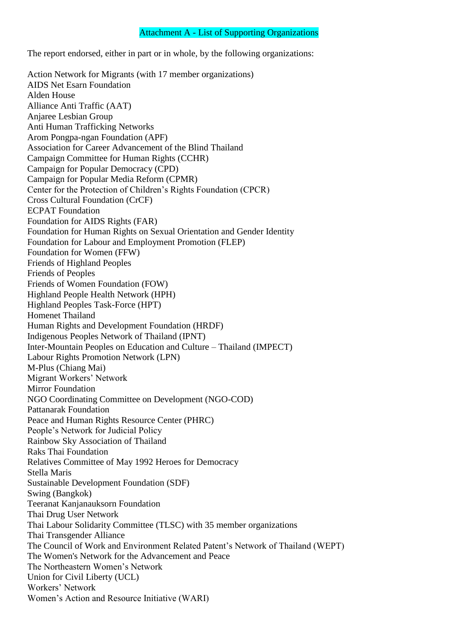#### Attachment A - List of Supporting Organizations

The report endorsed, either in part or in whole, by the following organizations:

Action Network for Migrants (with 17 member organizations) AIDS Net Esarn Foundation Alden House Alliance Anti Traffic (AAT) Anjaree Lesbian Group Anti Human Trafficking Networks Arom Pongpa-ngan Foundation (APF) Association for Career Advancement of the Blind Thailand Campaign Committee for Human Rights (CCHR) Campaign for Popular Democracy (CPD) Campaign for Popular Media Reform (CPMR) Center for the Protection of Children"s Rights Foundation (CPCR) Cross Cultural Foundation (CrCF) ECPAT Foundation Foundation for AIDS Rights (FAR) Foundation for Human Rights on Sexual Orientation and Gender Identity Foundation for Labour and Employment Promotion (FLEP) Foundation for Women (FFW) Friends of Highland Peoples Friends of Peoples Friends of Women Foundation (FOW) Highland People Health Network (HPH) Highland Peoples Task-Force (HPT) Homenet Thailand Human Rights and Development Foundation (HRDF) Indigenous Peoples Network of Thailand (IPNT) Inter-Mountain Peoples on Education and Culture – Thailand (IMPECT) Labour Rights Promotion Network (LPN) M-Plus (Chiang Mai) Migrant Workers" Network Mirror Foundation NGO Coordinating Committee on Development (NGO-COD) Pattanarak Foundation Peace and Human Rights Resource Center (PHRC) People"s Network for Judicial Policy Rainbow Sky Association of Thailand Raks Thai Foundation Relatives Committee of May 1992 Heroes for Democracy Stella Maris Sustainable Development Foundation (SDF) Swing (Bangkok) Teeranat Kanjanauksorn Foundation Thai Drug User Network Thai Labour Solidarity Committee (TLSC) with 35 member organizations Thai Transgender Alliance The Council of Work and Environment Related Patent"s Network of Thailand (WEPT) The Women's Network for the Advancement and Peace The Northeastern Women"s Network Union for Civil Liberty (UCL) Workers' Network Women"s Action and Resource Initiative (WARI)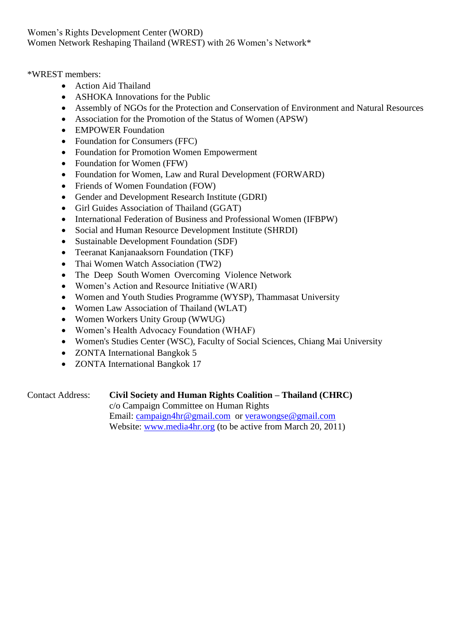Women"s Rights Development Center (WORD) Women Network Reshaping Thailand (WREST) with 26 Women"s Network\*

\*WREST members:

- Action Aid Thailand
- ASHOKA Innovations for the Public
- Assembly of NGOs for the Protection and Conservation of Environment and Natural Resources
- Association for the Promotion of the Status of Women (APSW)
- EMPOWER Foundation
- Foundation for Consumers (FFC)
- Foundation for Promotion Women Empowerment
- Foundation for Women (FFW)
- Foundation for Women, Law and Rural Development (FORWARD)
- Friends of Women Foundation (FOW)
- Gender and Development Research Institute (GDRI)
- Girl Guides Association of Thailand (GGAT)
- $\bullet$  International Federation of Business and Professional Women (IFBPW)
- Social and Human Resource Development Institute (SHRDI)
- Sustainable Development Foundation (SDF)
- Teeranat Kanjanaaksorn Foundation (TKF)
- Thai Women Watch Association (TW2)
- The Deep South Women Overcoming Violence Network
- Women"s Action and Resource Initiative (WARI)
- Women and Youth Studies Programme (WYSP), Thammasat University
- Women Law Association of Thailand (WLAT)
- Women Workers Unity Group (WWUG)
- Women"s Health Advocacy Foundation (WHAF)
- Women's Studies Center (WSC), Faculty of Social Sciences, Chiang Mai University
- ZONTA International Bangkok 5
- ZONTA International Bangkok 17

| <b>Contact Address:</b> | Civil Society and Human Rights Coalition – Thailand (CHRC)   |
|-------------------------|--------------------------------------------------------------|
|                         | c/o Campaign Committee on Human Rights                       |
|                         | Email: campaign4hr@gmail.com or verawongse@gmail.com         |
|                         | Website: www.media4hr.org (to be active from March 20, 2011) |